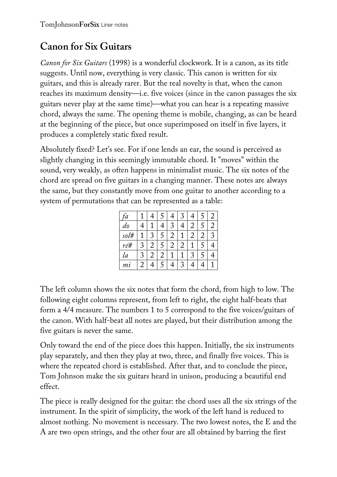## **Canon for Six Guitars**

*Canon for Six Guitars* (1998) is a wonderful clockwork. It is a canon, as its title suggests. Until now, everything is very classic. This canon is written for six guitars, and this is already rarer. But the real novelty is that, when the canon reaches its maximum density—i.e. five voices (since in the canon passages the six guitars never play at the same time)—what you can hear is a repeating massive chord, always the same. The opening theme is mobile, changing, as can be heard at the beginning of the piece, but once superimposed on itself in five layers, it produces a completely static fixed result.

Absolutely fixed? Let's see. For if one lends an ear, the sound is perceived as slightly changing in this seemingly immutable chord. It "moves" within the sound, very weakly, as often happens in minimalist music. The six notes of the chord are spread on five guitars in a changing manner. These notes are always the same, but they constantly move from one guitar to another according to a system of permutations that can be represented as a table:

| a,    |   |   |   |   | 2 | 4 |   |             |
|-------|---|---|---|---|---|---|---|-------------|
| do    |   |   |   |   |   | 2 |   | 2           |
| sol#  |   | ς |   | 2 |   | 2 | 2 | $\mathbf 3$ |
| ré#   | 3 | 2 |   | 2 | 2 |   |   |             |
| la    | 3 | 2 | 2 |   |   | 3 |   |             |
| $m_l$ | 2 |   |   |   | 2 |   |   |             |

The left column shows the six notes that form the chord, from high to low. The following eight columns represent, from left to right, the eight half-beats that form a 4/4 measure. The numbers 1 to 5 correspond to the five voices/guitars of the canon. With half-beat all notes are played, but their distribution among the five guitars is never the same.

Only toward the end of the piece does this happen. Initially, the six instruments play separately, and then they play at two, three, and finally five voices. This is where the repeated chord is established. After that, and to conclude the piece, Tom Johnson make the six guitars heard in unison, producing a beautiful end effect.

The piece is really designed for the guitar: the chord uses all the six strings of the instrument. In the spirit of simplicity, the work of the left hand is reduced to almost nothing. No movement is necessary. The two lowest notes, the E and the A are two open strings, and the other four are all obtained by barring the first